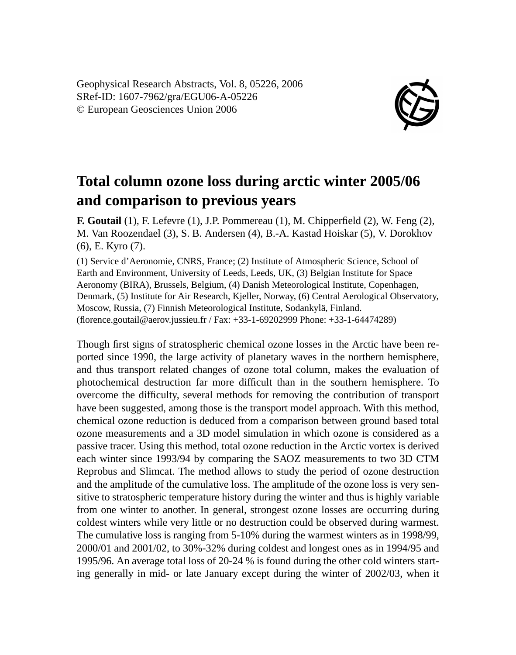Geophysical Research Abstracts, Vol. 8, 05226, 2006 SRef-ID: 1607-7962/gra/EGU06-A-05226 © European Geosciences Union 2006



## **Total column ozone loss during arctic winter 2005/06 and comparison to previous years**

**F. Goutail** (1), F. Lefevre (1), J.P. Pommereau (1), M. Chipperfield (2), W. Feng (2), M. Van Roozendael (3), S. B. Andersen (4), B.-A. Kastad Hoiskar (5), V. Dorokhov (6), E. Kyro (7).

(1) Service d'Aeronomie, CNRS, France; (2) Institute of Atmospheric Science, School of Earth and Environment, University of Leeds, Leeds, UK, (3) Belgian Institute for Space Aeronomy (BIRA), Brussels, Belgium, (4) Danish Meteorological Institute, Copenhagen, Denmark, (5) Institute for Air Research, Kjeller, Norway, (6) Central Aerological Observatory, Moscow, Russia, (7) Finnish Meteorological Institute, Sodankylä, Finland. (florence.goutail@aerov.jussieu.fr / Fax: +33-1-69202999 Phone: +33-1-64474289)

Though first signs of stratospheric chemical ozone losses in the Arctic have been reported since 1990, the large activity of planetary waves in the northern hemisphere, and thus transport related changes of ozone total column, makes the evaluation of photochemical destruction far more difficult than in the southern hemisphere. To overcome the difficulty, several methods for removing the contribution of transport have been suggested, among those is the transport model approach. With this method, chemical ozone reduction is deduced from a comparison between ground based total ozone measurements and a 3D model simulation in which ozone is considered as a passive tracer. Using this method, total ozone reduction in the Arctic vortex is derived each winter since 1993/94 by comparing the SAOZ measurements to two 3D CTM Reprobus and Slimcat. The method allows to study the period of ozone destruction and the amplitude of the cumulative loss. The amplitude of the ozone loss is very sensitive to stratospheric temperature history during the winter and thus is highly variable from one winter to another. In general, strongest ozone losses are occurring during coldest winters while very little or no destruction could be observed during warmest. The cumulative loss is ranging from 5-10% during the warmest winters as in 1998/99, 2000/01 and 2001/02, to 30%-32% during coldest and longest ones as in 1994/95 and 1995/96. An average total loss of 20-24 % is found during the other cold winters starting generally in mid- or late January except during the winter of 2002/03, when it